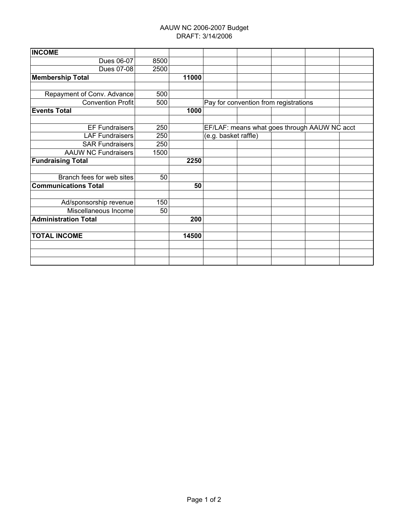## AAUW NC 2006-2007 Budget DRAFT: 3/14/2006

| 8500 |    |                                              |      |  |  |                                       |  |
|------|----|----------------------------------------------|------|--|--|---------------------------------------|--|
| 2500 |    |                                              |      |  |  |                                       |  |
|      |    |                                              |      |  |  |                                       |  |
|      |    |                                              |      |  |  |                                       |  |
| 500  |    |                                              |      |  |  |                                       |  |
| 500  |    |                                              |      |  |  |                                       |  |
|      |    |                                              |      |  |  |                                       |  |
|      |    |                                              |      |  |  |                                       |  |
| 250  |    | EF/LAF: means what goes through AAUW NC acct |      |  |  |                                       |  |
| 250  |    | (e.g. basket raffle)                         |      |  |  |                                       |  |
| 250  |    |                                              |      |  |  |                                       |  |
| 1500 |    |                                              |      |  |  |                                       |  |
|      |    |                                              |      |  |  |                                       |  |
|      |    |                                              |      |  |  |                                       |  |
| 50   |    |                                              |      |  |  |                                       |  |
|      | 50 |                                              |      |  |  |                                       |  |
|      |    |                                              |      |  |  |                                       |  |
| 150  |    |                                              |      |  |  |                                       |  |
| 50   |    |                                              |      |  |  |                                       |  |
|      |    |                                              |      |  |  |                                       |  |
|      |    |                                              |      |  |  |                                       |  |
|      |    |                                              |      |  |  |                                       |  |
|      |    |                                              |      |  |  |                                       |  |
|      |    |                                              |      |  |  |                                       |  |
|      |    |                                              |      |  |  |                                       |  |
|      |    | 11000<br>1000<br>200<br>14500                | 2250 |  |  | Pay for convention from registrations |  |